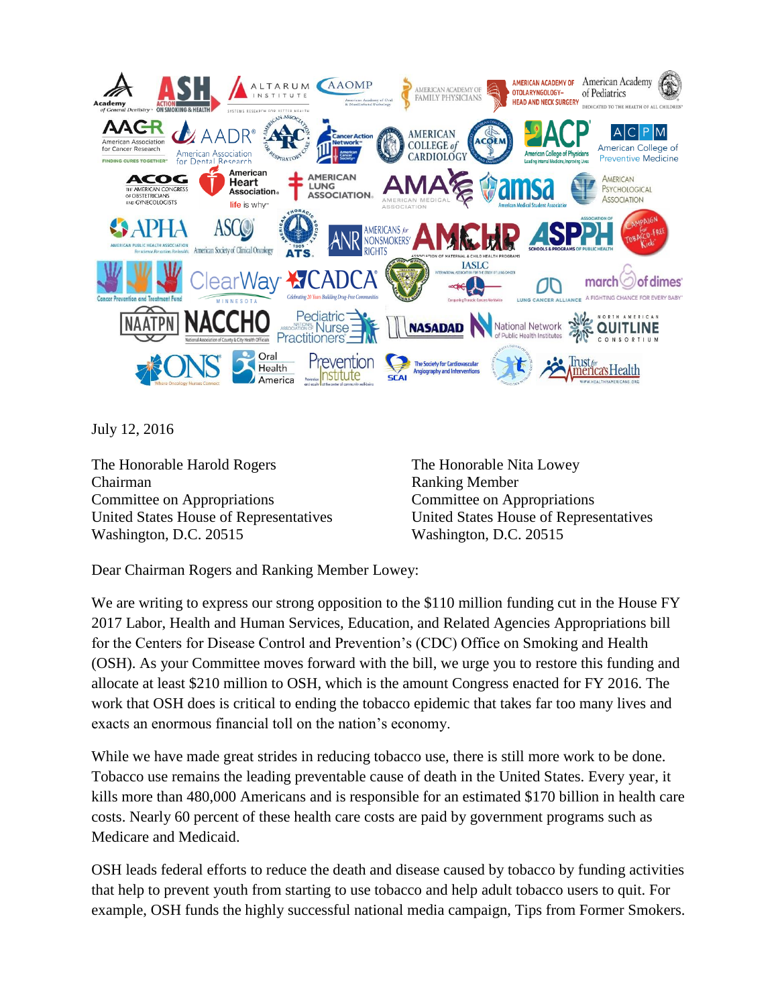

July 12, 2016

The Honorable Harold Rogers Chairman Committee on Appropriations United States House of Representatives Washington, D.C. 20515

The Honorable Nita Lowey Ranking Member Committee on Appropriations United States House of Representatives Washington, D.C. 20515

Dear Chairman Rogers and Ranking Member Lowey:

We are writing to express our strong opposition to the \$110 million funding cut in the House FY 2017 Labor, Health and Human Services, Education, and Related Agencies Appropriations bill for the Centers for Disease Control and Prevention's (CDC) Office on Smoking and Health (OSH). As your Committee moves forward with the bill, we urge you to restore this funding and allocate at least \$210 million to OSH, which is the amount Congress enacted for FY 2016. The work that OSH does is critical to ending the tobacco epidemic that takes far too many lives and exacts an enormous financial toll on the nation's economy.

While we have made great strides in reducing tobacco use, there is still more work to be done. Tobacco use remains the leading preventable cause of death in the United States. Every year, it kills more than 480,000 Americans and is responsible for an estimated \$170 billion in health care costs. Nearly 60 percent of these health care costs are paid by government programs such as Medicare and Medicaid.

OSH leads federal efforts to reduce the death and disease caused by tobacco by funding activities that help to prevent youth from starting to use tobacco and help adult tobacco users to quit. For example, OSH funds the highly successful national media campaign, Tips from Former Smokers.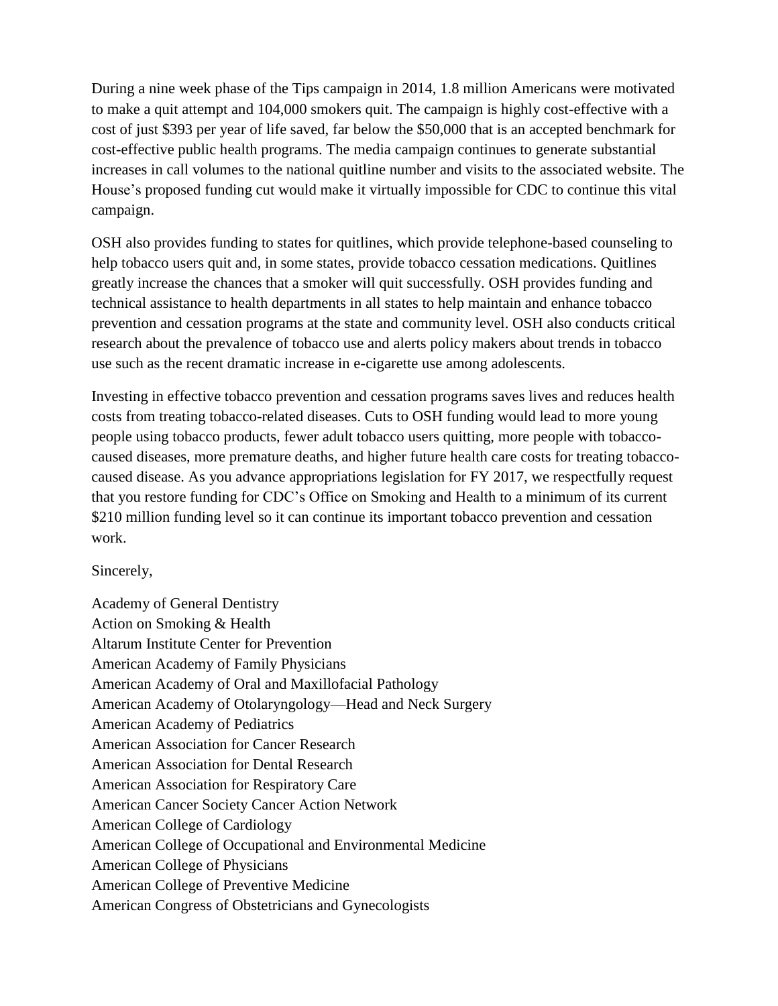During a nine week phase of the Tips campaign in 2014, 1.8 million Americans were motivated to make a quit attempt and 104,000 smokers quit. The campaign is highly cost-effective with a cost of just \$393 per year of life saved, far below the \$50,000 that is an accepted benchmark for cost-effective public health programs. The media campaign continues to generate substantial increases in call volumes to the national quitline number and visits to the associated website. The House's proposed funding cut would make it virtually impossible for CDC to continue this vital campaign.

OSH also provides funding to states for quitlines, which provide telephone-based counseling to help tobacco users quit and, in some states, provide tobacco cessation medications. Quitlines greatly increase the chances that a smoker will quit successfully. OSH provides funding and technical assistance to health departments in all states to help maintain and enhance tobacco prevention and cessation programs at the state and community level. OSH also conducts critical research about the prevalence of tobacco use and alerts policy makers about trends in tobacco use such as the recent dramatic increase in e-cigarette use among adolescents.

Investing in effective tobacco prevention and cessation programs saves lives and reduces health costs from treating tobacco-related diseases. Cuts to OSH funding would lead to more young people using tobacco products, fewer adult tobacco users quitting, more people with tobaccocaused diseases, more premature deaths, and higher future health care costs for treating tobaccocaused disease. As you advance appropriations legislation for FY 2017, we respectfully request that you restore funding for CDC's Office on Smoking and Health to a minimum of its current \$210 million funding level so it can continue its important tobacco prevention and cessation work.

## Sincerely,

Academy of General Dentistry Action on Smoking & Health Altarum Institute Center for Prevention American Academy of Family Physicians American Academy of Oral and Maxillofacial Pathology American Academy of Otolaryngology—Head and Neck Surgery American Academy of Pediatrics American Association for Cancer Research American Association for Dental Research American Association for Respiratory Care American Cancer Society Cancer Action Network American College of Cardiology American College of Occupational and Environmental Medicine American College of Physicians American College of Preventive Medicine American Congress of Obstetricians and Gynecologists